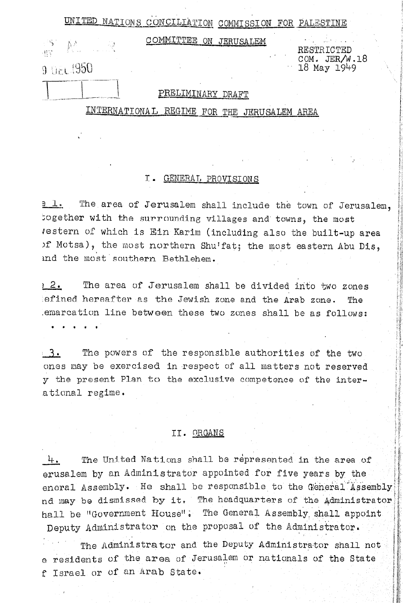UNITED NATIONS CONCILIATION COMMISSION FOR PALESTINE

 $W_{3}^{\ast}$ 

COMMITTEE ON JERUSALEM

RESTRICTED

18 May 1949

COM. JER/W.18

# 9 Oct 1950

## PRELIMINARY DRAFT

INTERNATIONAL REGIME FOR THE JERUSALEM AREA

## I. GENERAL PROVISIONS

The area of Jerusalem shall include the town of Jerusalem, e l. together with the surrounding villages and towns, the most Jestern of which is Ein Karim (including also the built-up area of Motsa), the most northern Shu'fat; the most eastern Abu Dis, ind the most southern Bethlehem.

The area of Jerusalem shall be divided into two zones  $2.2$ efined hereafter as the Jewish zone and the Arab zone. The emarcation line between these two zones shall be as follows:

The powers of the responsible authorities of the two  $-3$ . ones may be exercised in respect of all matters not reserved y the present Plan to the exclusive competence of the interational regime.

### II. ORGANS

The United Nations shall be represented in the area of 4. erusalem by an Administrator appointed for five years by the eneral Assembly. He shall be responsible to the General Assembly nd may be dismissed by it. The headquarters of the Administrator hall be "Government House". The General Assembly shall appoint Deputy Administrator on the proposal of the Administrator.

The Administrator and the Deputy Administrator shall not e residents of the area of Jerusalem or nationals of the State f Israel or of an Arab State.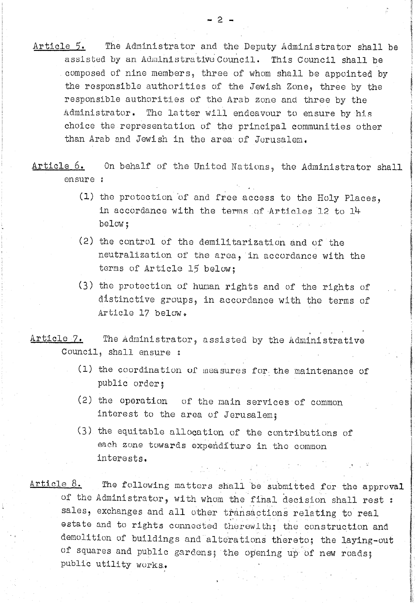Article 5. The Administrator and the Deputy Administrator shall be assisted by an Administrative Council. This Council shall be composed of nino members, three of whom shall be appointed by the responsible authorities of the Jewish Zone, three by the responsible authorities of tho Arab zone and three by the Administrator. The Latter will endeavour to ensure by his choice the representation of the principal communities other than Arab and Jewish in the area of Jerusalem.

Article 6. On behalf of the United Nations, the Administrator shall ensure :

- (1) the protection of and free access to the Holy Places, in accordance with the terms of Articles 12 to 14 below j
- $(2)$  the control of the demilitarization and of the neutralization of the area, in accordance with the terms of Article 15 below;
- (3) the protection of human rights and of the rights of distinctive groups, in accordance with tho terms of Article 17 below.

, Article 7. The Administrator, assisted by the Administrative Council, shall ensure :

- (1) the coordination of measures for the maintenance of public order;
- (2) the operation uf the main services of common interest to the area of Jerusalem;
- $(3)$  the equitable allocation of the contributions of each zone towards expenditure in the common interests, .'

 $Article 8.$  The following matters shall be submitted for the approval of the Administrator, with whom the final decision shall rest : sales, exchanges and all other transactions relating to real estate and to rights connected therewith; the construction and demolition of buildings and alterations thereto; the laying-out of squares and public gardens; the opening up of new roads; public utility works..

,

\ 1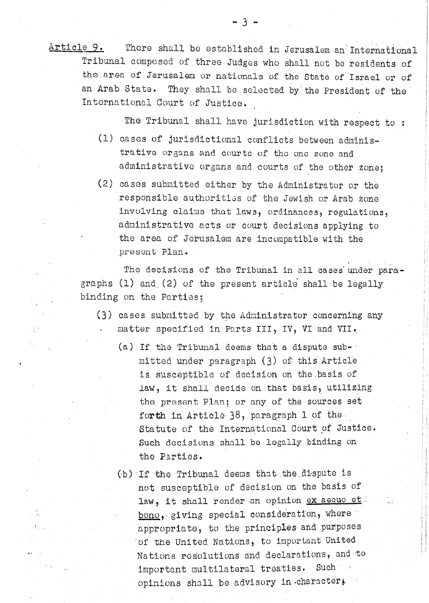The Tribunal shall have jurisdiction with respect to :

- (1) cases of jurisdictional conflicts between administrative organs and courts of the one zone and administrative organs and courts of the other zone;
- (2) cases submitted either by the Administrator or the responsible authorities of the Jewish or Arab zone involving claims that laws, ordinances, regulations, administrative acts or court decisions applying to the area of Jerusalem are incompatible with the present Plan.

The decisions of the Tribunal in all cases under paragraphs  $(1)$  and  $(2)$  of the present article shall be legally binding on the Parties;

- (3) cases submitted by the Administrator concerning any matter specified in Parts III, IV, VI and VII.
	- (a) If the Tribunal deems that a dispute submitted under paragraph (3) of this Article is susceptible of decision on the basis of law, it shall decide on that basis, utilizing the present Plan; or any of the sources set forth in Article 38, paragraph 1 of the Statute of the International Court of Justice. Such decisions shall be legally binding on the Parties.
	- (b) If the Tribunal deems that the dispute is not susceptible of decision on the basis of law, it shall render an opinion ex aequo et bono, giving special consideration, where appropriate, to the principles and purposes of the United Nations, to important United Nations resolutions and declarations, and to important multilateral treaties. Such a opinions shall be advisory in character.

 $-3 -$ 

 $\mathcal{L}_{\mathcal{L}}$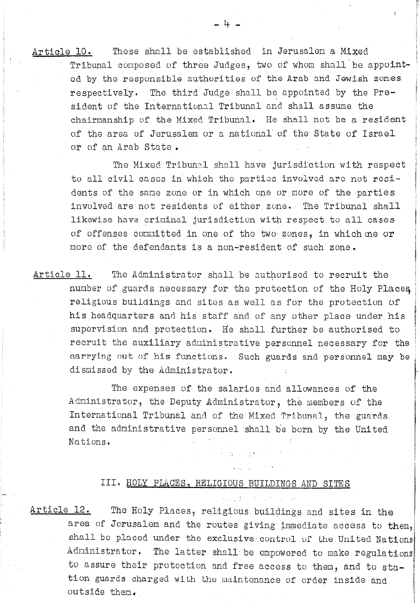These shall be established in Jerusalem a Mixed Article 10. Tribunal composed of three Judges, two of whom shall be appointed by the responsible authorities of the Arab and Jewish zones respectively. The third Judge shall be appointed by the President of the International Tribunal and shall assume the chairmanship of the Mixed Tribunal. He shall not be a resident of the area of Jerusalem or a national of the State of Israel or of an Arab State.

> The Mixed Tribunal shall have jurisdiction with respect to all civil cases in which the parties involved are not residents of the same zone or in which one or more of the parties involved are not residents of either zone. The Tribunal shall likewise have criminal jurisdiction with respect to all cases of offenses committed in one of the two zones, in which me or more of the defendants is a non-resident of such zone.

Article 11. The Administrator shall be authorised to recruit the number of guards necessary for the protection of the Holy Places religious buildings and sites as well as for the protection of his headquarters and his staff and of any other place under his supervision and protection. He shall further be authorised to recruit the auxiliary administrative personnel necessary for the carrying out of his functions. Such guards and personnel may be dismissed by the Administrator.

The expenses of the salaries and allowances of the Administrator, the Deputy Administrator, the members of the International Tribunal and of the Mixed Tribunal, the guards and the administrative personnel shall be born by the United Nations.

 $\mathcal{L}_{\text{max}}$  , where  $\mathcal{L}_{\text{max}}$  , we have the set of the  $\mathcal{L}_{\text{max}}$ 

# III. HOLY PLACES, RELIGIOUS BUILDINGS AND SITES

<u>Article 12.</u>

The Holy Places, religious buildings and sites in the area of Jerusalem and the routes giving immediate access to them, shall be placed under the exclusive control of the United Nations Administrator. The latter shall be empowered to make regulations to assure their protection and free access to them, and to station guards charged with the maintenance of order inside and outside them.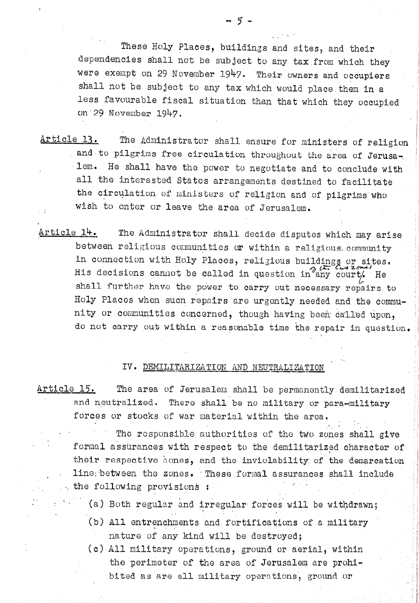- The Administrator shall ensure for ministers of religion Article 13. and to pilgrims free circulation throughout the area of Jerusalem. He shall have the power to negotiate and to conclude with all the interested States arrangements destined to facilitate the circulation of ministers of religion and of pilgrims who wish to enter or leave the area of Jerusalem.
- Article 14. The Administrator shall decide disputes which may arise between religious communities or within a religious community in connection with Holy Places, religious buildings or sites. His decisions cannot be called in question in any court/ He shall further have the power to carry out necessary repairs to Holy Places when such repairs are urgently needed and the community or communities concerned, though having been called upon, do not carry out within a reasonable time the repair in question.

#### IV. DEMILITARIZATION AND NEUTRALIZATION

Article 15. The area of Jerusalom shall be permanently demilitarized and neutralized. There shall be no military or para-military forces or stocks of war material within the area.

The responsible authorities of the two zones shall give formal assurances with respect to the demilitarized character of their respective acnes, and the inviolability of the demarcation line between the zones. These formal assurances shall include the following provisions:

- (a) Both regular and irregular forces will be withdrawn;
- (b) All entrenchments and fortifications of a military nature of any kind will be destroyed;
- (c) All military operations, ground or aerial, within the perimeter of the area of Jerusalem are prohibited as are all military operations, ground or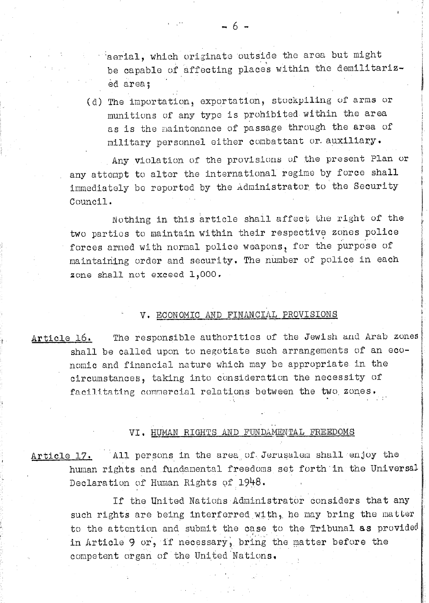aerial, which originate outside the area but might be capable of affecting places within the demilitarized area;

(d) The importation, exportation, stockpiling of arms or munitions of any type is prohibited within the area as is the maintonance of passage through the area of military personnel either combattant or auxiliary.

Any violation of the provisions of the present Plan or any attempt to alter the international regime by force shall immediately be reported by the Administrator to the Security Council.

Nothing in this article shall affect the right of the two parties to maintain within their respective zones police forces armed with normal police weapons, for the purpose of maintaining order and security. The number of police in each zone shall not exceed 1,000.

#### V. ECONOMIC AND FINANCIAL PROVISIONS

The responsible authorities of the Jewish and Arab zones Article 16. shall be called upon to negotiate such arrangements of an economic and financial nature which may be appropriate in the circumstances, taking into consideration the necessity of facilitating commercial relations between the two zones.

### VI. HUMAN RIGHTS AND FUNDAMENTAL FREEDOMS

All persons in the area of Jerusalem shall enjoy the Article 17. human rights and fundamental freedoms set forth in the Universal Declaration of Human Rights of 1948.

> If the United Nations Administrator considers that any such rights are being interferred with, he may bring the matter to the attention and submit the case to the Tribunal as provided in Article 9 or, if necessary, bring the matter before the competent organ of the United Nations.